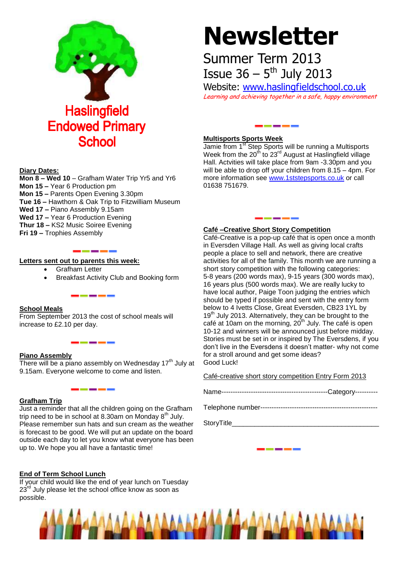

# **Diary Dates:**

**Mon 8 – Wed 10** – Grafham Water Trip Yr5 and Yr6 **Mon 15 –** Year 6 Production pm **Mon 15 –** Parents Open Evening 3.30pm **Tue 16 –** Hawthorn & Oak Trip to Fitzwilliam Museum **Wed 17 –** Piano Assembly 9.15am **Wed 17 –** Year 6 Production Evening **Thur 18 –** KS2 Music Soiree Evening **Fri 19 –** Trophies Assembly

# \_\_\_\_\_

------

# **Letters sent out to parents this week:**

- Grafham Letter
- Breakfast Activity Club and Booking form

### **School Meals**

From September 2013 the cost of school meals will increase to £2.10 per day.

#### **Piano Assembly**

There will be a piano assembly on Wednesday  $17<sup>th</sup>$  July at 9.15am. Everyone welcome to come and listen.

### **Grafham Trip**

Just a reminder that all the children going on the Grafham trip need to be in school at 8.30am on Monday  $8<sup>th</sup>$  July. Please remember sun hats and sun cream as the weather is forecast to be good. We will put an update on the board outside each day to let you know what everyone has been up to. We hope you all have a fantastic time!

# **End of Term School Lunch**

If your child would like the end of year lunch on Tuesday  $23^{\text{rd}}$  July please let the school office know as soon as possible.

# **Newsletter**

# Summer Term 2013 **Issue 36 –**  $5^{th}$  **July 2013**

Website: [www.haslingfieldschool.co.uk](http://www.haslingfieldschool.co.uk/) Learning and achieving together in a safe, happy environment

------

# **Multisports Sports Week**

Jamie from 1<sup>st</sup> Step Sports will be running a Multisports Week from the  $20<sup>th</sup>$  to  $23<sup>rd</sup>$  August at Haslingfield village Hall. Actvities will take place from 9am -3.30pm and you will be able to drop off your children from 8.15 – 4pm. For more information see [www.1ststepsports.co.uk](http://www.1ststepsports.co.uk/) or call 01638 751679.

#### **Café –Creative Short Story Competition**

\_\_\_\_\_\_

Café-Creative is a pop-up café that is open once a month in Eversden Village Hall. As well as giving local crafts people a place to sell and network, there are creative activities for all of the family. This month we are running a short story competition with the following categories: 5-8 years (200 words max), 9-15 years (300 words max), 16 years plus (500 words max). We are really lucky to have local author, Paige Toon judging the entries which should be typed if possible and sent with the entry form below to 4 Ivetts Close, Great Eversden, CB23 1YL by 19<sup>th</sup> July 2013. Alternatively, they can be brought to the café at 10am on the morning,  $20<sup>th</sup>$  July. The café is open 10-12 and winners will be announced just before midday. Stories must be set in or inspired by The Eversdens, if you don't live in the Eversdens it doesn't matter- why not come for a stroll around and get some ideas? Good Luck!

Café-creative short story competition Entry Form 2013

|--|

Telephone number----------------------------------------------------

StoryTitle